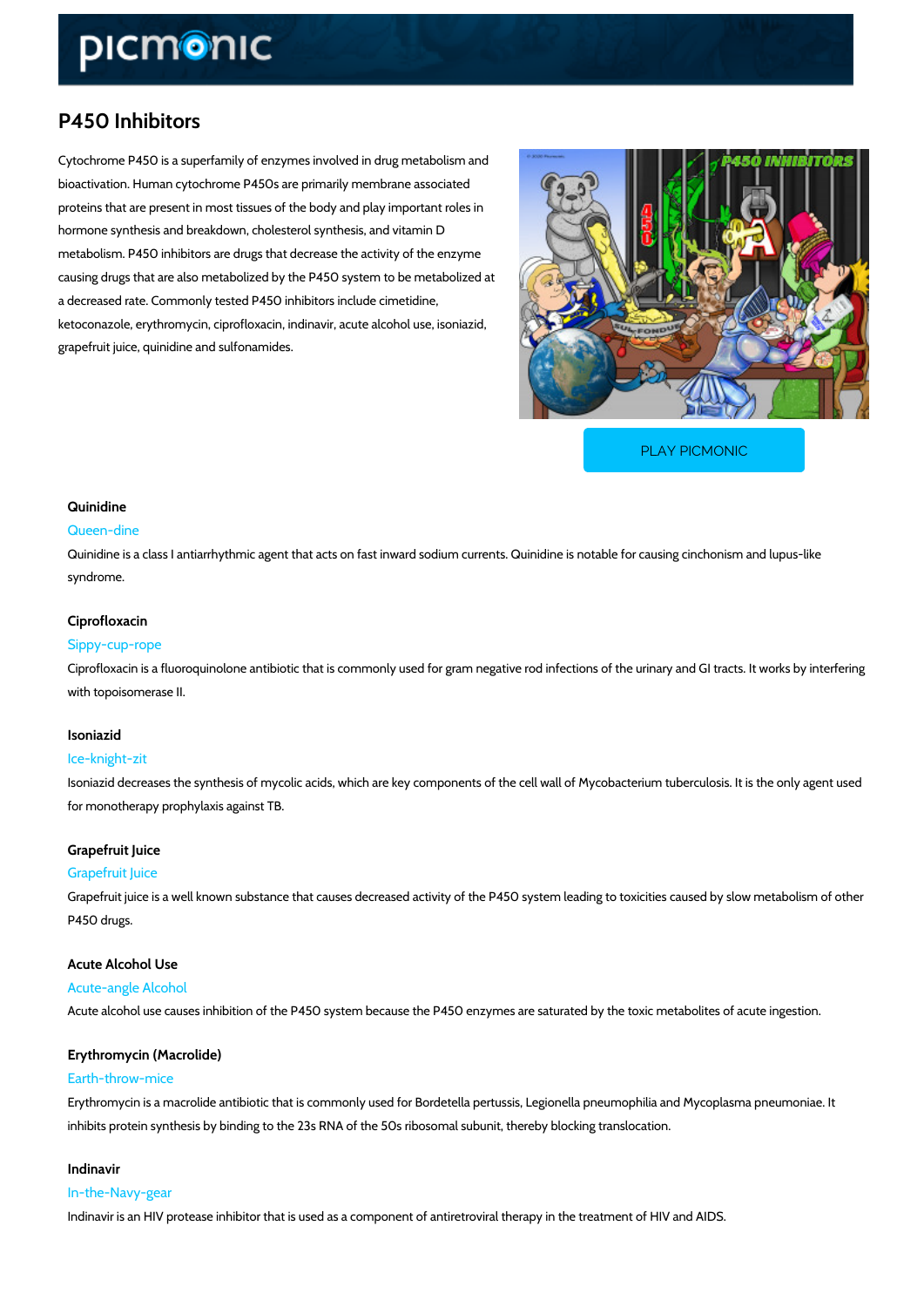# P450 Inhibitors

Cytochrome P450 is a superfamily of enzymes involved in drug metabolism and bioactivation. Human cytochrome P450s are primarily membrane associated proteins that are present in most tissues of the body and play important roles in hormone synthesis and breakdown, cholesterol synthesis, and vitamin D metabolism. P450 inhibitors are drugs that decrease the activity of the enzyme causing drugs that are also metabolized by the P450 system to be metabolized at a decreased rate. Commonly tested P450 inhibitors include cimetidine, ketoconazole, erythromycin, ciprofloxacin, indinavir, acute alcohol use, isoniazid, grapefruit juice, quinidine and sulfonamides.

[PLAY PICMONIC](https://www.picmonic.com/learn/p450-inhibitors_10083?utm_source=downloadable_content&utm_medium=distributedcontent&utm_campaign=pathways_pdf&utm_content=P450 Inhibitors&utm_ad_group=leads&utm_market=all)

## Quinidine

#### Queen-dine

Quinidine is a class I antiarrhythmic agent that acts on fast inward sodium currents. Quinidin syndrome.

## Ciprofloxacin

#### Sippy-cup-rope

Ciprofloxacin is a fluoroquinolone antibiotic that is commonly used for gram negative rod infe with topoisomerase II.

#### Isoniazid

#### Ice-knight-zit

Isoniazid decreases the synthesis of mycolic acids, which are key components of the cell wall for monotherapy prophylaxis against TB.

# Grapefruit Juice

## Grapefruit Juice

Grapefruit juice is a well known substance that causes decreased activity of the P450 system P450 drugs.

# Acute Alcohol Use

Acute-angle Alcohol

Acute alcohol use causes inhibition of the P450 system because the P450 enzymes are saturated by the total by the toxic metabolites and the toxic metabolites and acute in acute in acute in acute in acute in acute in acute

# Erythromycin (Macrolide)

## Earth-throw-mice

Erythromycin is a macrolide antibiotic that is commonly used for Bordetella pertussis, Legione inhibits protein synthesis by binding to the 23s RNA of the 50s ribosomal subunit, thereby blo

# Indinavir

In-the-Navy-gear Indinavir is an HIV protease inhibitor that is used as a component of antiretroviral therapy in